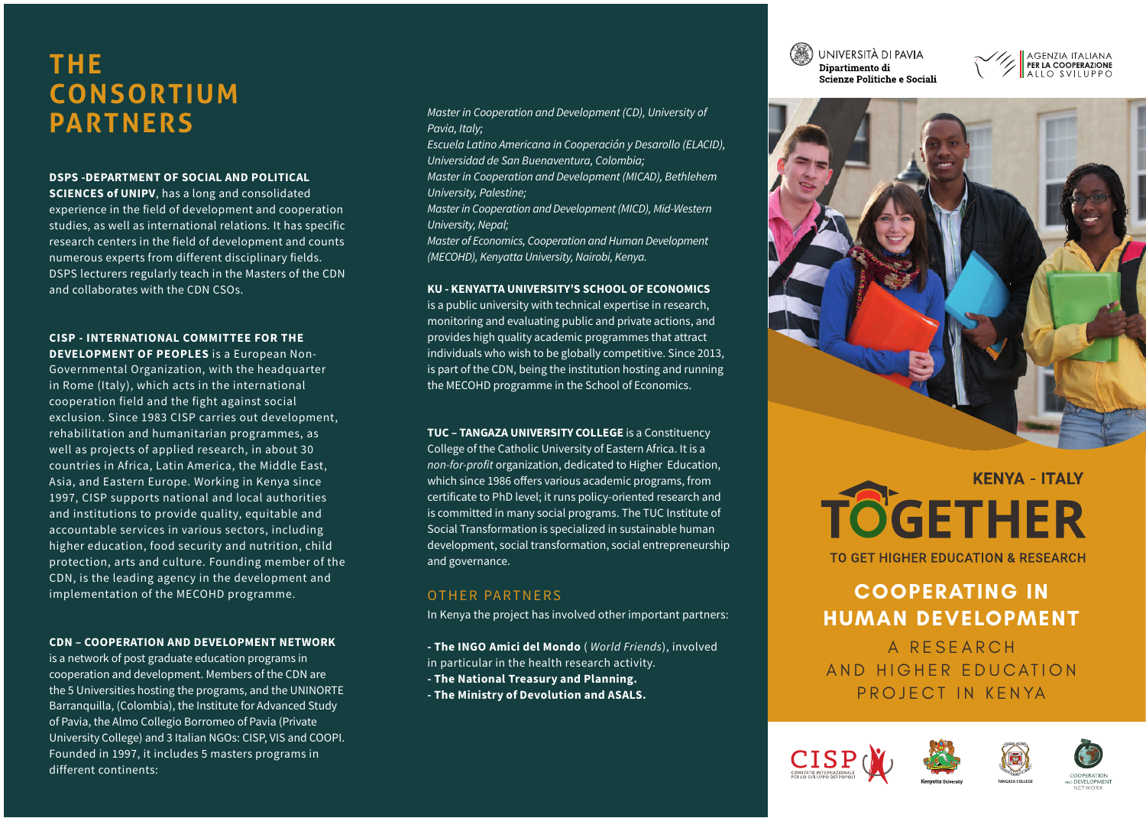# **THE CONSORTIUM**

### DSPS -DEPARTMENT OF SOCIAL AND POLITICAL

SCIENCES of UNIPV, has a long and consolidated experience in the field of development and cooperation studies, as well as international relations. It has specific research centers in the field of development and counts numerous experts from different disciplinary fields. DSPS lecturers regularly teach in the Masters of the CDN and collaborates with the CDN CSOs.

## CISP - INTERNATIONAL COMMITTEE FOR THE

DEVELOPMENT OF PEOPLES is a European Non-Governmental Organization, with the headquarter in Rome (Italy), which acts in the international cooperation field and the fight against social exclusion. Since 1983 CISP carries out development, rehabilitation and humanitarian programmes, as well as projects of applied research, in about 30 countries in Africa, Latin America, the Middle East, Asia, and Eastern Europe. Working in Kenya since 1997, CISP supports national and local authorities and institutions to provide quality, equitable and accountable services in various sectors, including higher education, food security and nutrition, child protection, arts and culture. Founding member of the CDN, is the leading agency in the development and implementation of the MECOHD programme.

#### CDN – COOPERATION AND DEVELOPMENT NETWORK

is a network of post graduate education programs in cooperation and development. Members of the CDN are the 5 Universities hosting the programs, and the UNINORTE Barranquilla, (Colombia), the Institute for Advanced Study of Pavia, the Almo Collegio Borromeo of Pavia (Private University College) and 3 Italian NGOs: CISP, VIS and COOPI. Founded in 1997, it includes 5 masters programs in different continents:

**PARTNERS** *Master in Cooperation and Development (CD), University of**PARTNERS Pavia, Italy;* 

> *Escuela Latino Americana in Cooperación y Desarollo (ELACID), Universidad de San Buenaventura, Colombia;*

*Master in Cooperation and Development (MICAD), Bethlehem University, Palestine;*

*Master in Cooperation and Development (MICD), Mid-Western University, Nepal;*

*Master of Economics, Cooperation and Human Development (MECOHD), Kenyatta University, Nairobi, Kenya.* 

#### KU - KENYATTA UNIVERSITY'S SCHOOL OF ECONOMICS

is a public university with technical expertise in research, monitoring and evaluating public and private actions, and provides high quality academic programmes that attract individuals who wish to be globally competitive. Since 2013, is part of the CDN, being the institution hosting and running the MECOHD programme in the School of Economics.

TUC – TANGAZA UNIVERSITY COLLEGE is a Constituency College of the Catholic University of Eastern Africa. It is a *non-for-profit* organization, dedicated to Higher Education, which since 1986 offers various academic programs, from certificate to PhD level; it runs policy-oriented research and is committed in many social programs. The TUC Institute of Social Transformation is specialized in sustainable human development, social transformation, social entrepreneurship and governance.

### OTHER PARTNERS

In Kenya the project has involved other important partners:

- The INGO Amici del Mondo ( *World Friends*), involved in particular in the health research activity. - The National Treasury and Planning. - The Ministry of Devolution and ASALS.







# **KFNYA - ITAIY TOGETHER**

TO GET HIGHER EDUCATION & RESEARCH

## **COOPERATING IN HUMAN DEVELOPMENT**

A RESEARCH AND HIGHER EDUCATION PROJECT IN KENYA